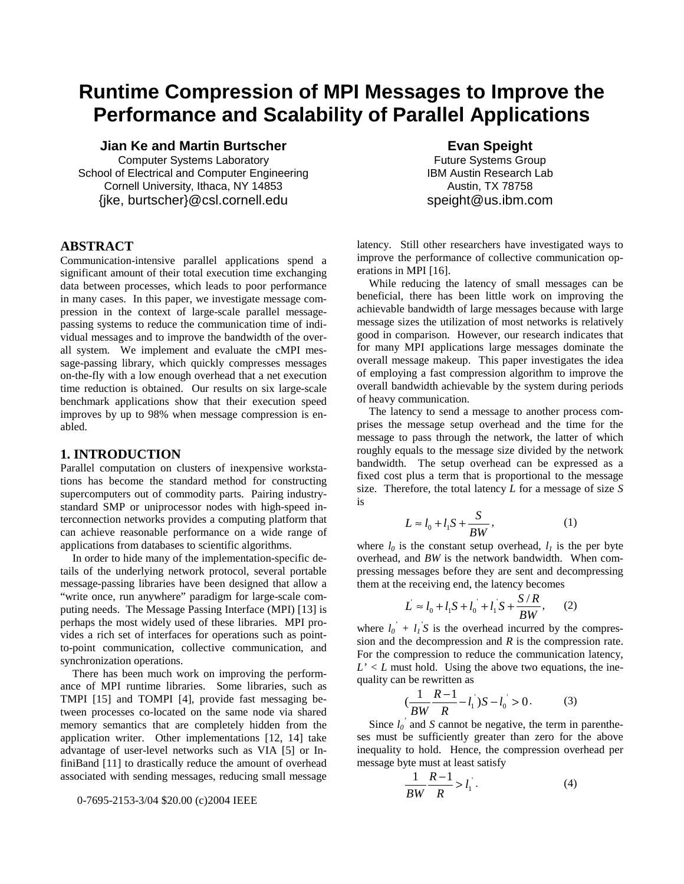# **Runtime Compression of MPI Messages to Improve the Performance and Scalability of Parallel Applications**

**Jian Ke and Martin Burtscher** 

Computer Systems Laboratory School of Electrical and Computer Engineering Cornell University, Ithaca, NY 14853 {jke, burtscher}@csl.cornell.edu

## **ABSTRACT**

Communication-intensive parallel applications spend a significant amount of their total execution time exchanging data between processes, which leads to poor performance in many cases. In this paper, we investigate message compression in the context of large-scale parallel messagepassing systems to reduce the communication time of individual messages and to improve the bandwidth of the overall system. We implement and evaluate the cMPI message-passing library, which quickly compresses messages on-the-fly with a low enough overhead that a net execution time reduction is obtained. Our results on six large-scale benchmark applications show that their execution speed improves by up to 98% when message compression is enabled.

## **1. INTRODUCTION**

Parallel computation on clusters of inexpensive workstations has become the standard method for constructing supercomputers out of commodity parts. Pairing industrystandard SMP or uniprocessor nodes with high-speed interconnection networks provides a computing platform that can achieve reasonable performance on a wide range of applications from databases to scientific algorithms.

In order to hide many of the implementation-specific details of the underlying network protocol, several portable message-passing libraries have been designed that allow a "write once, run anywhere" paradigm for large-scale computing needs. The Message Passing Interface (MPI) [13] is perhaps the most widely used of these libraries. MPI provides a rich set of interfaces for operations such as pointto-point communication, collective communication, and synchronization operations.

There has been much work on improving the performance of MPI runtime libraries. Some libraries, such as TMPI [15] and TOMPI [4], provide fast messaging between processes co-located on the same node via shared memory semantics that are completely hidden from the application writer. Other implementations [12, 14] take advantage of user-level networks such as VIA [5] or InfiniBand [11] to drastically reduce the amount of overhead associated with sending messages, reducing small message

0-7695-2153-3/04 \$20.00 (c)2004 IEEE

**Evan Speight**  Future Systems Group IBM Austin Research Lab Austin, TX 78758 speight@us.ibm.com

latency. Still other researchers have investigated ways to improve the performance of collective communication operations in MPI [16].

While reducing the latency of small messages can be beneficial, there has been little work on improving the achievable bandwidth of large messages because with large message sizes the utilization of most networks is relatively good in comparison. However, our research indicates that for many MPI applications large messages dominate the overall message makeup. This paper investigates the idea of employing a fast compression algorithm to improve the overall bandwidth achievable by the system during periods of heavy communication.

The latency to send a message to another process comprises the message setup overhead and the time for the message to pass through the network, the latter of which roughly equals to the message size divided by the network bandwidth. The setup overhead can be expressed as a fixed cost plus a term that is proportional to the message size. Therefore, the total latency *L* for a message of size *S* is

$$
L \approx l_0 + l_1 S + \frac{S}{BW},\tag{1}
$$

where  $l_0$  is the constant setup overhead,  $l_1$  is the per byte overhead, and *BW* is the network bandwidth. When compressing messages before they are sent and decompressing them at the receiving end, the latency becomes

$$
L \approx l_0 + l_1 S + l_0 + l_1 S + \frac{S/R}{BW},
$$
 (2)

where  $l_0' + l_1' S$  is the overhead incurred by the compression and the decompression and *R* is the compression rate. For the compression to reduce the communication latency,  $L' < L$  must hold. Using the above two equations, the inequality can be rewritten as

$$
\left(\frac{1}{BW}\frac{R-1}{R}-l_1\right)S-l_0 > 0.
$$
 (3)

Since  $l_0$ <sup>'</sup> and *S* cannot be negative, the term in parentheses must be sufficiently greater than zero for the above inequality to hold. Hence, the compression overhead per message byte must at least satisfy

$$
\frac{1}{BW} \frac{R-1}{R} > l_1 \tag{4}
$$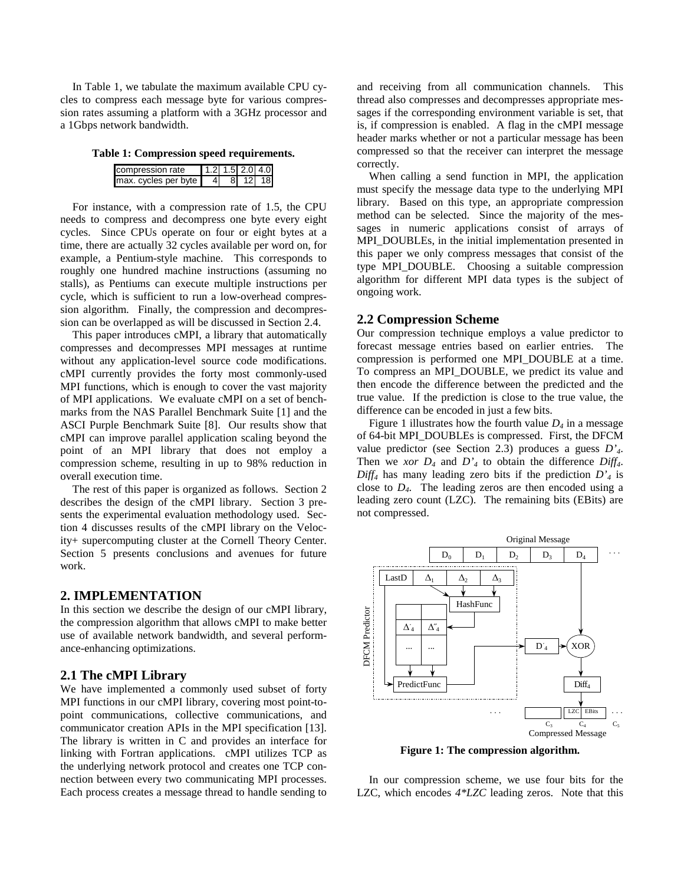In Table 1, we tabulate the maximum available CPU cycles to compress each message byte for various compression rates assuming a platform with a 3GHz processor and a 1Gbps network bandwidth.

**Table 1: Compression speed requirements.** 

| compression rate     | 1.2 1.5 2.0 4.0 |        |  |
|----------------------|-----------------|--------|--|
| max. cycles per byte |                 | 81 121 |  |

For instance, with a compression rate of 1.5, the CPU needs to compress and decompress one byte every eight cycles. Since CPUs operate on four or eight bytes at a time, there are actually 32 cycles available per word on, for example, a Pentium-style machine. This corresponds to roughly one hundred machine instructions (assuming no stalls), as Pentiums can execute multiple instructions per cycle, which is sufficient to run a low-overhead compression algorithm. Finally, the compression and decompression can be overlapped as will be discussed in Section 2.4.

This paper introduces cMPI, a library that automatically compresses and decompresses MPI messages at runtime without any application-level source code modifications. cMPI currently provides the forty most commonly-used MPI functions, which is enough to cover the vast majority of MPI applications. We evaluate cMPI on a set of benchmarks from the NAS Parallel Benchmark Suite [1] and the ASCI Purple Benchmark Suite [8]. Our results show that cMPI can improve parallel application scaling beyond the point of an MPI library that does not employ a compression scheme, resulting in up to 98% reduction in overall execution time.

The rest of this paper is organized as follows. Section 2 describes the design of the cMPI library. Section 3 presents the experimental evaluation methodology used. Section 4 discusses results of the cMPI library on the Velocity+ supercomputing cluster at the Cornell Theory Center. Section 5 presents conclusions and avenues for future work.

### **2. IMPLEMENTATION**

In this section we describe the design of our cMPI library, the compression algorithm that allows cMPI to make better use of available network bandwidth, and several performance-enhancing optimizations.

#### **2.1 The cMPI Library**

We have implemented a commonly used subset of forty MPI functions in our cMPI library, covering most point-topoint communications, collective communications, and communicator creation APIs in the MPI specification [13]. The library is written in C and provides an interface for linking with Fortran applications. cMPI utilizes TCP as the underlying network protocol and creates one TCP connection between every two communicating MPI processes. Each process creates a message thread to handle sending to

and receiving from all communication channels. This thread also compresses and decompresses appropriate messages if the corresponding environment variable is set, that is, if compression is enabled. A flag in the cMPI message header marks whether or not a particular message has been compressed so that the receiver can interpret the message correctly.

When calling a send function in MPI, the application must specify the message data type to the underlying MPI library. Based on this type, an appropriate compression method can be selected. Since the majority of the messages in numeric applications consist of arrays of MPI\_DOUBLEs, in the initial implementation presented in this paper we only compress messages that consist of the type MPI\_DOUBLE. Choosing a suitable compression algorithm for different MPI data types is the subject of ongoing work.

### **2.2 Compression Scheme**

Our compression technique employs a value predictor to forecast message entries based on earlier entries. The compression is performed one MPI\_DOUBLE at a time. To compress an MPI\_DOUBLE, we predict its value and then encode the difference between the predicted and the true value. If the prediction is close to the true value, the difference can be encoded in just a few bits.

Figure 1 illustrates how the fourth value  $D_4$  in a message of 64-bit MPI\_DOUBLEs is compressed. First, the DFCM value predictor (see Section 2.3) produces a guess *D'4*. Then we *xor*  $D_4$  and  $D'_4$  to obtain the difference  $Diff_4$ .  $Diff<sub>4</sub>$  has many leading zero bits if the prediction  $D<sub>4</sub>$  is close to *D4*. The leading zeros are then encoded using a leading zero count (LZC). The remaining bits (EBits) are not compressed.



**Figure 1: The compression algorithm.** 

In our compression scheme, we use four bits for the LZC, which encodes *4\*LZC* leading zeros. Note that this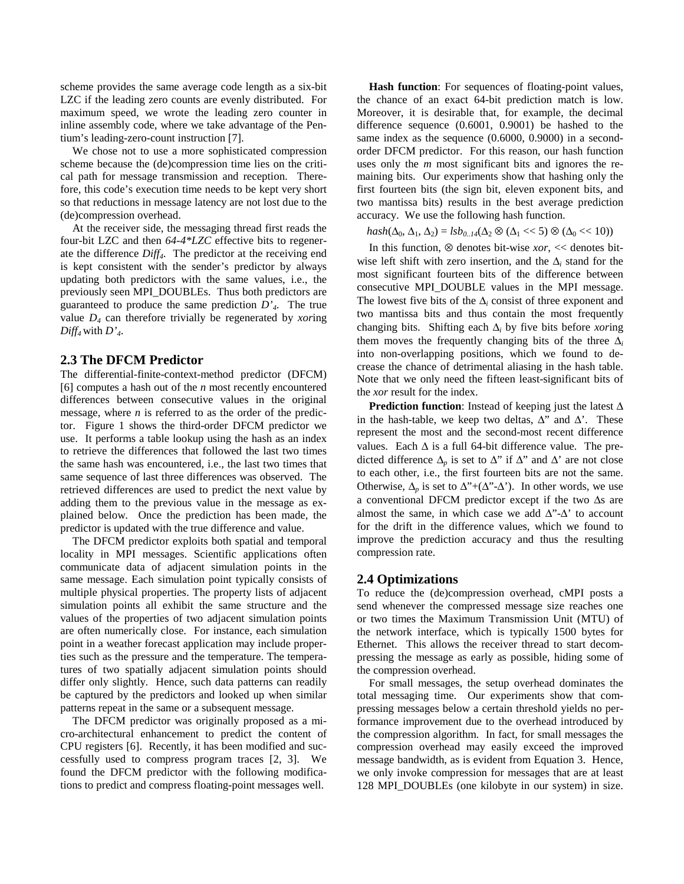scheme provides the same average code length as a six-bit LZC if the leading zero counts are evenly distributed. For maximum speed, we wrote the leading zero counter in inline assembly code, where we take advantage of the Pentium's leading-zero-count instruction [7].

We chose not to use a more sophisticated compression scheme because the (de)compression time lies on the critical path for message transmission and reception. Therefore, this code's execution time needs to be kept very short so that reductions in message latency are not lost due to the (de)compression overhead.

At the receiver side, the messaging thread first reads the four-bit LZC and then *64-4\*LZC* effective bits to regenerate the difference *Diff4*. The predictor at the receiving end is kept consistent with the sender's predictor by always updating both predictors with the same values, i.e., the previously seen MPI\_DOUBLEs. Thus both predictors are guaranteed to produce the same prediction *D'4*. The true value *D4* can therefore trivially be regenerated by *xor*ing  $Diff<sub>4</sub>$  with  $D<sub>4</sub>$ .

#### **2.3 The DFCM Predictor**

The differential-finite-context-method predictor (DFCM) [6] computes a hash out of the *n* most recently encountered differences between consecutive values in the original message, where *n* is referred to as the order of the predictor. Figure 1 shows the third-order DFCM predictor we use. It performs a table lookup using the hash as an index to retrieve the differences that followed the last two times the same hash was encountered, i.e., the last two times that same sequence of last three differences was observed. The retrieved differences are used to predict the next value by adding them to the previous value in the message as explained below. Once the prediction has been made, the predictor is updated with the true difference and value.

The DFCM predictor exploits both spatial and temporal locality in MPI messages. Scientific applications often communicate data of adjacent simulation points in the same message. Each simulation point typically consists of multiple physical properties. The property lists of adjacent simulation points all exhibit the same structure and the values of the properties of two adjacent simulation points are often numerically close. For instance, each simulation point in a weather forecast application may include properties such as the pressure and the temperature. The temperatures of two spatially adjacent simulation points should differ only slightly. Hence, such data patterns can readily be captured by the predictors and looked up when similar patterns repeat in the same or a subsequent message.

The DFCM predictor was originally proposed as a micro-architectural enhancement to predict the content of CPU registers [6]. Recently, it has been modified and successfully used to compress program traces [2, 3]. We found the DFCM predictor with the following modifications to predict and compress floating-point messages well.

**Hash function**: For sequences of floating-point values, the chance of an exact 64-bit prediction match is low. Moreover, it is desirable that, for example, the decimal difference sequence (0.6001, 0.9001) be hashed to the same index as the sequence (0.6000, 0.9000) in a secondorder DFCM predictor. For this reason, our hash function uses only the *m* most significant bits and ignores the remaining bits. Our experiments show that hashing only the first fourteen bits (the sign bit, eleven exponent bits, and two mantissa bits) results in the best average prediction accuracy. We use the following hash function.

$$
hash(\Delta_0, \Delta_1, \Delta_2) = lsb_{0..14}(\Delta_2 \otimes (\Delta_1 \ll 5) \otimes (\Delta_0 \ll 10))
$$

In this function, ⊗ denotes bit-wise *xor*, << denotes bitwise left shift with zero insertion, and the ∆*i* stand for the most significant fourteen bits of the difference between consecutive MPI\_DOUBLE values in the MPI message. The lowest five bits of the  $\Delta$ *i* consist of three exponent and two mantissa bits and thus contain the most frequently changing bits. Shifting each ∆*i* by five bits before *xor*ing them moves the frequently changing bits of the three  $\Delta_i$ into non-overlapping positions, which we found to decrease the chance of detrimental aliasing in the hash table. Note that we only need the fifteen least-significant bits of the *xor* result for the index.

**Prediction function**: Instead of keeping just the latest ∆ in the hash-table, we keep two deltas,  $\Delta$ " and  $\Delta$ '. These represent the most and the second-most recent difference values. Each ∆ is a full 64-bit difference value. The predicted difference  $\Delta_p$  is set to  $\Delta$ " if  $\Delta$ " and  $\Delta$ ' are not close to each other, i.e., the first fourteen bits are not the same. Otherwise,  $\Delta_p$  is set to  $\Delta$ "+( $\Delta$ "- $\Delta$ "). In other words, we use a conventional DFCM predictor except if the two ∆s are almost the same, in which case we add  $\Delta$ "- $\Delta$ ' to account for the drift in the difference values, which we found to improve the prediction accuracy and thus the resulting compression rate.

## **2.4 Optimizations**

To reduce the (de)compression overhead, cMPI posts a send whenever the compressed message size reaches one or two times the Maximum Transmission Unit (MTU) of the network interface, which is typically 1500 bytes for Ethernet. This allows the receiver thread to start decompressing the message as early as possible, hiding some of the compression overhead.

For small messages, the setup overhead dominates the total messaging time. Our experiments show that compressing messages below a certain threshold yields no performance improvement due to the overhead introduced by the compression algorithm. In fact, for small messages the compression overhead may easily exceed the improved message bandwidth, as is evident from Equation 3. Hence, we only invoke compression for messages that are at least 128 MPI\_DOUBLEs (one kilobyte in our system) in size.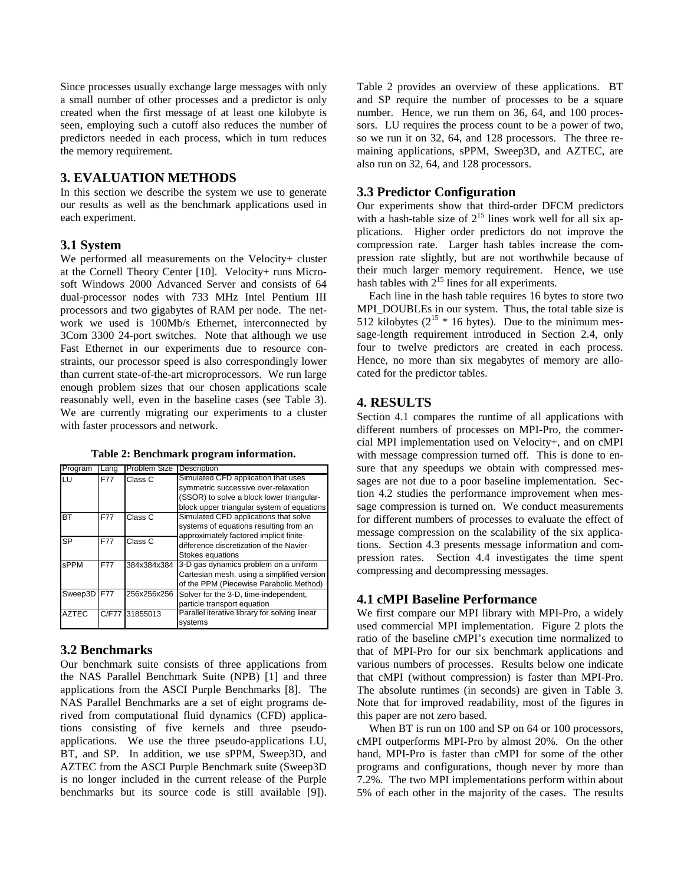Since processes usually exchange large messages with only a small number of other processes and a predictor is only created when the first message of at least one kilobyte is seen, employing such a cutoff also reduces the number of predictors needed in each process, which in turn reduces the memory requirement.

## **3. EVALUATION METHODS**

In this section we describe the system we use to generate our results as well as the benchmark applications used in each experiment.

## **3.1 System**

We performed all measurements on the Velocity+ cluster at the Cornell Theory Center [10]. Velocity+ runs Microsoft Windows 2000 Advanced Server and consists of 64 dual-processor nodes with 733 MHz Intel Pentium III processors and two gigabytes of RAM per node. The network we used is 100Mb/s Ethernet, interconnected by 3Com 3300 24-port switches. Note that although we use Fast Ethernet in our experiments due to resource constraints, our processor speed is also correspondingly lower than current state-of-the-art microprocessors. We run large enough problem sizes that our chosen applications scale reasonably well, even in the baseline cases (see Table 3). We are currently migrating our experiments to a cluster with faster processors and network.

**Table 2: Benchmark program information.** 

| Program      | Lang       | Problem Size   | Description                                   |  |  |
|--------------|------------|----------------|-----------------------------------------------|--|--|
| LU           | F77        | Class C        | Simulated CFD application that uses           |  |  |
|              |            |                | symmetric successive over-relaxation          |  |  |
|              |            |                | (SSOR) to solve a block lower triangular-     |  |  |
|              |            |                | block upper triangular system of equations    |  |  |
| <b>BT</b>    | <b>F77</b> | Class C        | Simulated CFD applications that solve         |  |  |
|              |            |                | systems of equations resulting from an        |  |  |
| <b>SP</b>    | F77        | Class C        | approximately factored implicit finite-       |  |  |
|              |            |                | difference discretization of the Navier-      |  |  |
|              |            |                | Stokes equations                              |  |  |
| sPPM         | <b>F77</b> | 384x384x384    | 3-D gas dynamics problem on a uniform         |  |  |
|              |            |                | Cartesian mesh, using a simplified version    |  |  |
|              |            |                | of the PPM (Piecewise Parabolic Method)       |  |  |
| Sweep3D      | F77        | 256x256x256    | Solver for the 3-D, time-independent,         |  |  |
|              |            |                | particle transport equation                   |  |  |
| <b>AZTEC</b> |            | C/F77 31855013 | Parallel iterative library for solving linear |  |  |
|              |            |                | systems                                       |  |  |

# **3.2 Benchmarks**

Our benchmark suite consists of three applications from the NAS Parallel Benchmark Suite (NPB) [1] and three applications from the ASCI Purple Benchmarks [8]. The NAS Parallel Benchmarks are a set of eight programs derived from computational fluid dynamics (CFD) applications consisting of five kernels and three pseudoapplications. We use the three pseudo-applications LU, BT, and SP. In addition, we use sPPM, Sweep3D, and AZTEC from the ASCI Purple Benchmark suite (Sweep3D is no longer included in the current release of the Purple benchmarks but its source code is still available [9]).

Table 2 provides an overview of these applications. BT and SP require the number of processes to be a square number. Hence, we run them on 36, 64, and 100 processors. LU requires the process count to be a power of two, so we run it on 32, 64, and 128 processors. The three remaining applications, sPPM, Sweep3D, and AZTEC, are also run on 32, 64, and 128 processors.

## **3.3 Predictor Configuration**

Our experiments show that third-order DFCM predictors with a hash-table size of  $2^{15}$  lines work well for all six applications. Higher order predictors do not improve the compression rate. Larger hash tables increase the compression rate slightly, but are not worthwhile because of their much larger memory requirement. Hence, we use hash tables with  $2^{15}$  lines for all experiments.

Each line in the hash table requires 16 bytes to store two MPI\_DOUBLEs in our system. Thus, the total table size is 512 kilobytes ( $2^{15}$  \* 16 bytes). Due to the minimum message-length requirement introduced in Section 2.4, only four to twelve predictors are created in each process. Hence, no more than six megabytes of memory are allocated for the predictor tables.

# **4. RESULTS**

Section 4.1 compares the runtime of all applications with different numbers of processes on MPI-Pro, the commercial MPI implementation used on Velocity+, and on cMPI with message compression turned off. This is done to ensure that any speedups we obtain with compressed messages are not due to a poor baseline implementation. Section 4.2 studies the performance improvement when message compression is turned on. We conduct measurements for different numbers of processes to evaluate the effect of message compression on the scalability of the six applications. Section 4.3 presents message information and compression rates. Section 4.4 investigates the time spent compressing and decompressing messages.

# **4.1 cMPI Baseline Performance**

We first compare our MPI library with MPI-Pro, a widely used commercial MPI implementation. Figure 2 plots the ratio of the baseline cMPI's execution time normalized to that of MPI-Pro for our six benchmark applications and various numbers of processes. Results below one indicate that cMPI (without compression) is faster than MPI-Pro. The absolute runtimes (in seconds) are given in Table 3. Note that for improved readability, most of the figures in this paper are not zero based.

When BT is run on 100 and SP on 64 or 100 processors, cMPI outperforms MPI-Pro by almost 20%. On the other hand, MPI-Pro is faster than cMPI for some of the other programs and configurations, though never by more than 7.2%. The two MPI implementations perform within about 5% of each other in the majority of the cases. The results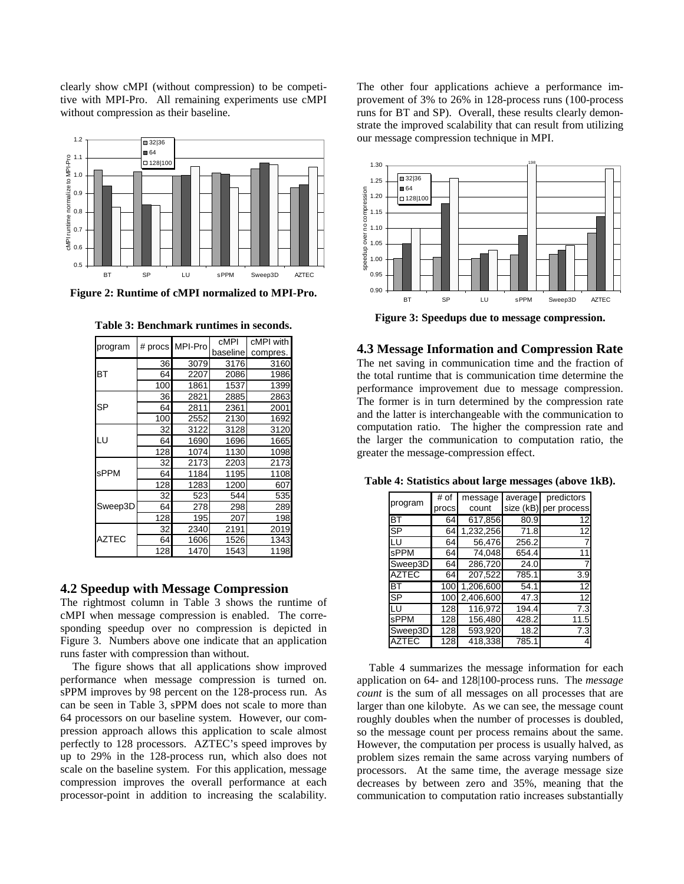clearly show cMPI (without compression) to be competitive with MPI-Pro. All remaining experiments use cMPI without compression as their baseline.



| program      | # procs | MPI-Pro | cMPI     | cMPI with |  |
|--------------|---------|---------|----------|-----------|--|
|              |         |         | baseline | compres.  |  |
|              | 36      | 3079    | 3176     | 3160      |  |
| <b>BT</b>    | 64      | 2207    | 2086     | 1986      |  |
|              | 100     | 1861    | 1537     | 1399      |  |
|              | 36      | 2821    | 2885     | 2863      |  |
| <b>SP</b>    | 64      | 2811    | 2361     | 2001      |  |
|              | 100     | 2552    | 2130     | 1692      |  |
| LU           | 32      | 3122    | 3128     | 3120      |  |
|              | 64      | 1690    | 1696     | 1665      |  |
|              | 128     | 1074    | 1130     | 1098      |  |
| <b>sPPM</b>  | 32      | 2173    | 2203     | 2173      |  |
|              | 64      | 1184    | 1195     | 1108      |  |
|              | 128     | 1283    | 1200     | 607       |  |
| Sweep3D      | 32      | 523     | 544      | 535       |  |
|              | 64      | 278     | 298      | 289       |  |
|              | 128     | 195     | 207      | 198       |  |
|              | 32      | 2340    | 2191     | 2019      |  |
| <b>AZTEC</b> | 64      | 1606    | 1526     | 1343      |  |
|              | 128     | 1470    | 1543     | 1198      |  |

**Table 3: Benchmark runtimes in seconds.** 

## **4.2 Speedup with Message Compression**

The rightmost column in Table 3 shows the runtime of cMPI when message compression is enabled. The corresponding speedup over no compression is depicted in Figure 3. Numbers above one indicate that an application runs faster with compression than without.

The figure shows that all applications show improved performance when message compression is turned on. sPPM improves by 98 percent on the 128-process run. As can be seen in Table 3, sPPM does not scale to more than 64 processors on our baseline system. However, our compression approach allows this application to scale almost perfectly to 128 processors. AZTEC's speed improves by up to 29% in the 128-process run, which also does not scale on the baseline system. For this application, message compression improves the overall performance at each processor-point in addition to increasing the scalability. The other four applications achieve a performance improvement of 3% to 26% in 128-process runs (100-process runs for BT and SP). Overall, these results clearly demonstrate the improved scalability that can result from utilizing our message compression technique in MPI.



**Figure 3: Speedups due to message compression.** 

**4.3 Message Information and Compression Rate** 

The net saving in communication time and the fraction of the total runtime that is communication time determine the performance improvement due to message compression. The former is in turn determined by the compression rate and the latter is interchangeable with the communication to computation ratio. The higher the compression rate and the larger the communication to computation ratio, the greater the message-compression effect.

| program                  | # of  | message   | average   | predictors  |
|--------------------------|-------|-----------|-----------|-------------|
|                          | procs | count     | size (kB) | per process |
| $\overline{\mathsf{BT}}$ | 64    | 617,856   | 80.9      | 12          |
| $\overline{\mathsf{SP}}$ | 64    | 1,232,256 | 71.8      | 12          |
| LU                       | 64    | 56.476    | 256.2     |             |
| sPPM                     | 64    | 74,048    | 654.4     |             |
| Sweep3D                  | 64    | 286,720   | 24.0      |             |
| <b>AZTEC</b>             | 64    | 207,522   | 785.1     | 3.9         |
| ВT                       | 100   | 1,206,600 | 54.1      | 12          |
| SP                       | 100   | 2,406,600 | 47.3      | 12          |
| LU                       | 128   | 116,972   | 194.4     | 7.3         |
| sPPM                     | 128   | 156,480   | 428.2     | 11.5        |
| Sweep3D                  | 128   | 593,920   | 18.2      | 7.3         |
| AZTEC                    | 128   | 418,338   | 785.1     | 4           |

Table 4 summarizes the message information for each application on 64- and 128|100-process runs. The *message count* is the sum of all messages on all processes that are larger than one kilobyte. As we can see, the message count roughly doubles when the number of processes is doubled, so the message count per process remains about the same. However, the computation per process is usually halved, as problem sizes remain the same across varying numbers of processors. At the same time, the average message size decreases by between zero and 35%, meaning that the communication to computation ratio increases substantially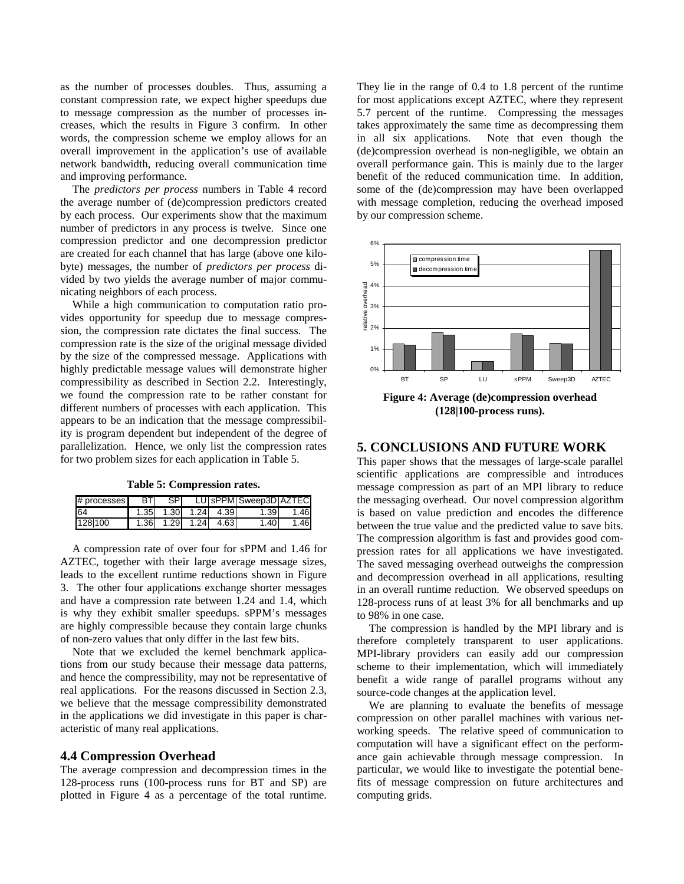as the number of processes doubles. Thus, assuming a constant compression rate, we expect higher speedups due to message compression as the number of processes increases, which the results in Figure 3 confirm. In other words, the compression scheme we employ allows for an overall improvement in the application's use of available network bandwidth, reducing overall communication time and improving performance.

The *predictors per process* numbers in Table 4 record the average number of (de)compression predictors created by each process. Our experiments show that the maximum number of predictors in any process is twelve. Since one compression predictor and one decompression predictor are created for each channel that has large (above one kilobyte) messages, the number of *predictors per process* divided by two yields the average number of major communicating neighbors of each process.

While a high communication to computation ratio provides opportunity for speedup due to message compression, the compression rate dictates the final success. The compression rate is the size of the original message divided by the size of the compressed message. Applications with highly predictable message values will demonstrate higher compressibility as described in Section 2.2. Interestingly, we found the compression rate to be rather constant for different numbers of processes with each application. This appears to be an indication that the message compressibility is program dependent but independent of the degree of parallelization. Hence, we only list the compression rates for two problem sizes for each application in Table 5.

**Table 5: Compression rates.** 

| # processes |      | SPI |           |                     | LU SPPM Sweep3D AZTEC |       |
|-------------|------|-----|-----------|---------------------|-----------------------|-------|
| 64          |      |     |           | 1.35 1.30 1.24 4.39 | 1.391                 | 1.46  |
| 128 100     | 1.36 |     | 1.29 1.24 | 4.63                | $1.40 -$              | 1.461 |

A compression rate of over four for sPPM and 1.46 for AZTEC, together with their large average message sizes, leads to the excellent runtime reductions shown in Figure 3. The other four applications exchange shorter messages and have a compression rate between 1.24 and 1.4, which is why they exhibit smaller speedups. sPPM's messages are highly compressible because they contain large chunks of non-zero values that only differ in the last few bits.

Note that we excluded the kernel benchmark applications from our study because their message data patterns, and hence the compressibility, may not be representative of real applications. For the reasons discussed in Section 2.3, we believe that the message compressibility demonstrated in the applications we did investigate in this paper is characteristic of many real applications.

#### **4.4 Compression Overhead**

The average compression and decompression times in the 128-process runs (100-process runs for BT and SP) are plotted in Figure 4 as a percentage of the total runtime.

They lie in the range of 0.4 to 1.8 percent of the runtime for most applications except AZTEC, where they represent 5.7 percent of the runtime. Compressing the messages takes approximately the same time as decompressing them in all six applications. Note that even though the (de)compression overhead is non-negligible, we obtain an overall performance gain. This is mainly due to the larger benefit of the reduced communication time. In addition, some of the (de)compression may have been overlapped with message completion, reducing the overhead imposed by our compression scheme.



**(128|100-process runs).** 

### **5. CONCLUSIONS AND FUTURE WORK**

This paper shows that the messages of large-scale parallel scientific applications are compressible and introduces message compression as part of an MPI library to reduce the messaging overhead. Our novel compression algorithm is based on value prediction and encodes the difference between the true value and the predicted value to save bits. The compression algorithm is fast and provides good compression rates for all applications we have investigated. The saved messaging overhead outweighs the compression and decompression overhead in all applications, resulting in an overall runtime reduction. We observed speedups on 128-process runs of at least 3% for all benchmarks and up to 98% in one case.

The compression is handled by the MPI library and is therefore completely transparent to user applications. MPI-library providers can easily add our compression scheme to their implementation, which will immediately benefit a wide range of parallel programs without any source-code changes at the application level.

We are planning to evaluate the benefits of message compression on other parallel machines with various networking speeds. The relative speed of communication to computation will have a significant effect on the performance gain achievable through message compression. In particular, we would like to investigate the potential benefits of message compression on future architectures and computing grids.